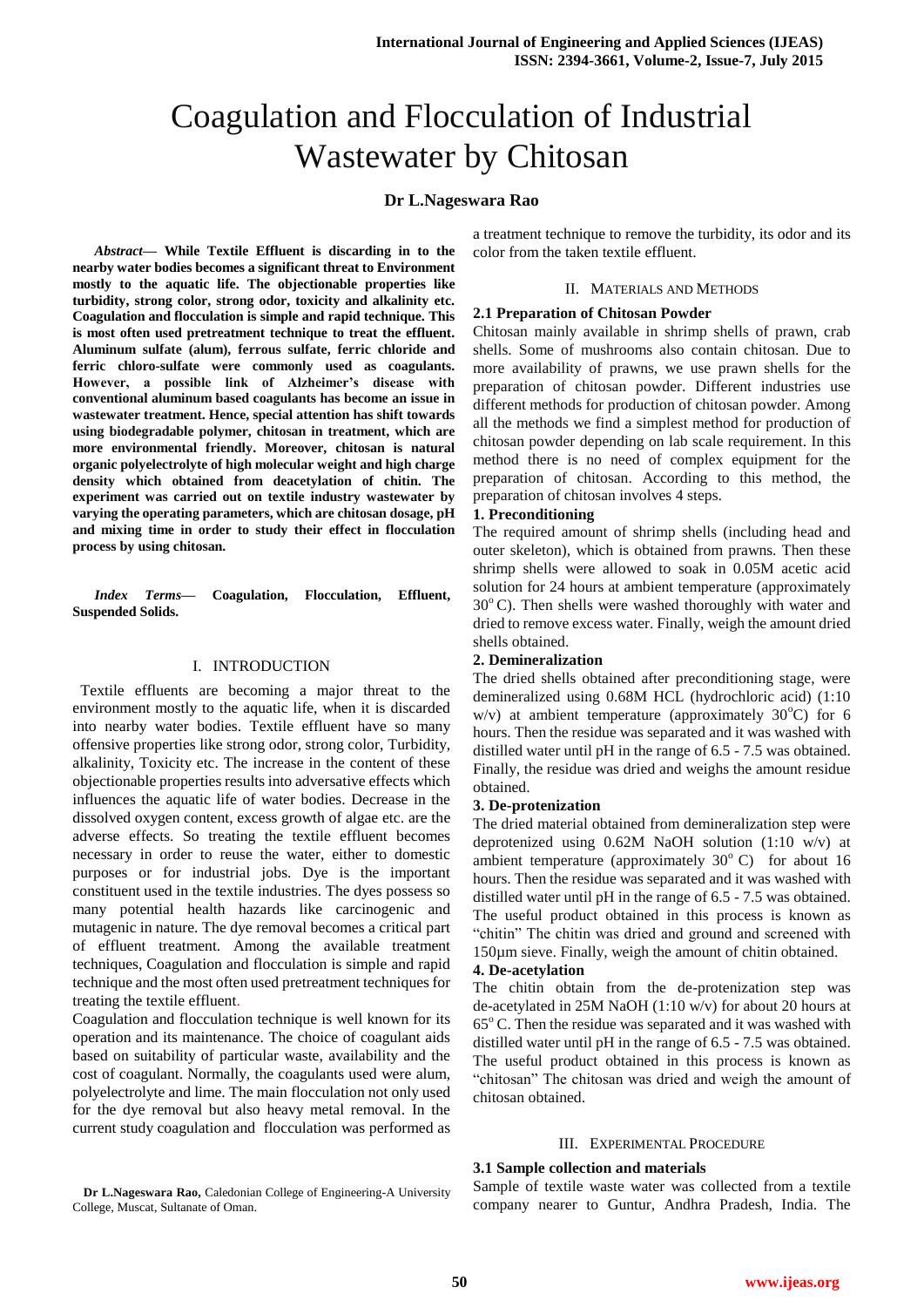# Coagulation and Flocculation of Industrial Wastewater by Chitosan

## **Dr L.Nageswara Rao**

*Abstract***— While Textile Effluent is discarding in to the nearby water bodies becomes a significant threat to Environment mostly to the aquatic life. The objectionable properties like turbidity, strong color, strong odor, toxicity and alkalinity etc. Coagulation and flocculation is simple and rapid technique. This is most often used pretreatment technique to treat the effluent. Aluminum sulfate (alum), ferrous sulfate, ferric chloride and ferric chloro-sulfate were commonly used as coagulants. However, a possible link of Alzheimer's disease with conventional aluminum based coagulants has become an issue in wastewater treatment. Hence, special attention has shift towards using biodegradable polymer, chitosan in treatment, which are more environmental friendly. Moreover, chitosan is natural organic polyelectrolyte of high molecular weight and high charge density which obtained from deacetylation of chitin. The experiment was carried out on textile industry wastewater by varying the operating parameters, which are chitosan dosage, pH and mixing time in order to study their effect in flocculation process by using chitosan.** 

*Index Terms***— Coagulation, Flocculation, Effluent, Suspended Solids.**

## I. INTRODUCTION

 Textile effluents are becoming a major threat to the environment mostly to the aquatic life, when it is discarded into nearby water bodies. Textile effluent have so many offensive properties like strong odor, strong color, Turbidity, alkalinity, Toxicity etc. The increase in the content of these objectionable properties results into adversative effects which influences the aquatic life of water bodies. Decrease in the dissolved oxygen content, excess growth of algae etc. are the adverse effects. So treating the textile effluent becomes necessary in order to reuse the water, either to domestic purposes or for industrial jobs. Dye is the important constituent used in the textile industries. The dyes possess so many potential health hazards like carcinogenic and mutagenic in nature. The dye removal becomes a critical part of effluent treatment. Among the available treatment techniques, Coagulation and flocculation is simple and rapid technique and the most often used pretreatment techniques for treating the textile effluent.

Coagulation and flocculation technique is well known for its operation and its maintenance. The choice of coagulant aids based on suitability of particular waste, availability and the cost of coagulant. Normally, the coagulants used were alum, polyelectrolyte and lime. The main flocculation not only used for the dye removal but also heavy metal removal. In the current study coagulation and flocculation was performed as

**Dr L.Nageswara Rao,** Caledonian College of Engineering-A University College*,* Muscat, Sultanate of Oman.

a treatment technique to remove the turbidity, its odor and its color from the taken textile effluent.

### II. MATERIALS AND METHODS

## **2.1 Preparation of Chitosan Powder**

Chitosan mainly available in shrimp shells of prawn, crab shells. Some of mushrooms also contain chitosan. Due to more availability of prawns, we use prawn shells for the preparation of chitosan powder. Different industries use different methods for production of chitosan powder. Among all the methods we find a simplest method for production of chitosan powder depending on lab scale requirement. In this method there is no need of complex equipment for the preparation of chitosan. According to this method, the preparation of chitosan involves 4 steps.

## **1. Preconditioning**

The required amount of shrimp shells (including head and outer skeleton), which is obtained from prawns. Then these shrimp shells were allowed to soak in 0.05M acetic acid solution for 24 hours at ambient temperature (approximately  $30^{\circ}$  C). Then shells were washed thoroughly with water and dried to remove excess water. Finally, weigh the amount dried shells obtained.

## **2. Demineralization**

The dried shells obtained after preconditioning stage, were demineralized using 0.68M HCL (hydrochloric acid) (1:10 w/v) at ambient temperature (approximately  $30^{\circ}$ C) for 6 hours. Then the residue was separated and it was washed with distilled water until pH in the range of 6.5 - 7.5 was obtained. Finally, the residue was dried and weighs the amount residue obtained.

## **3. De-protenization**

The dried material obtained from demineralization step were deprotenized using 0.62M NaOH solution (1:10 w/v) at ambient temperature (approximately  $30^{\circ}$  C) for about 16 hours. Then the residue was separated and it was washed with distilled water until pH in the range of 6.5 - 7.5 was obtained. The useful product obtained in this process is known as "chitin" The chitin was dried and ground and screened with 150µm sieve. Finally, weigh the amount of chitin obtained.

## **4. De-acetylation**

The chitin obtain from the de-protenization step was de-acetylated in 25M NaOH (1:10 w/v) for about 20 hours at  $65^{\circ}$  C. Then the residue was separated and it was washed with distilled water until pH in the range of 6.5 - 7.5 was obtained. The useful product obtained in this process is known as "chitosan" The chitosan was dried and weigh the amount of chitosan obtained.

#### III. EXPERIMENTAL PROCEDURE

## **3.1 Sample collection and materials**

Sample of textile waste water was collected from a textile company nearer to Guntur, Andhra Pradesh, India. The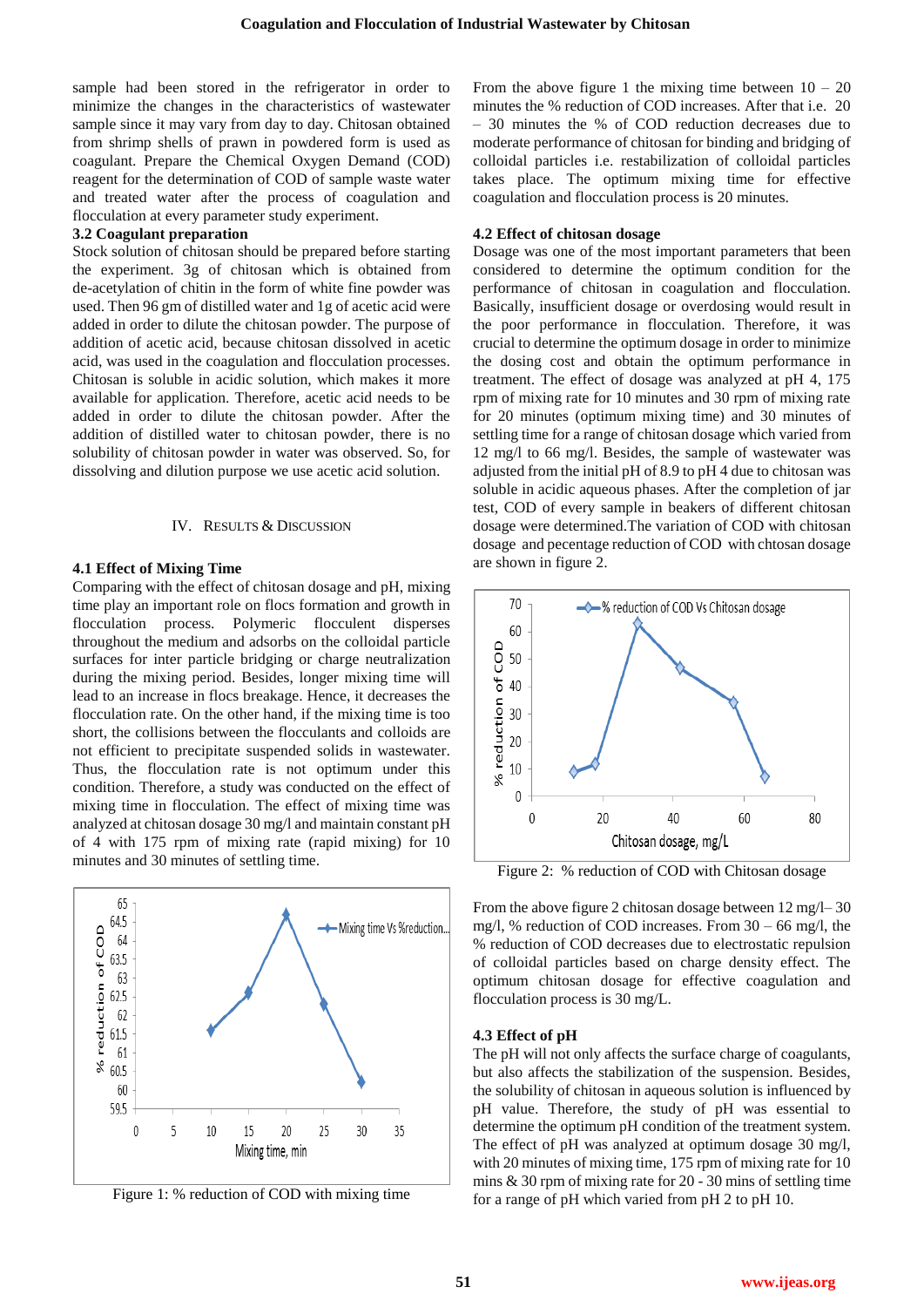sample had been stored in the refrigerator in order to minimize the changes in the characteristics of wastewater sample since it may vary from day to day. Chitosan obtained from shrimp shells of prawn in powdered form is used as coagulant. Prepare the Chemical Oxygen Demand (COD) reagent for the determination of COD of sample waste water and treated water after the process of coagulation and flocculation at every parameter study experiment.

#### **3.2 Coagulant preparation**

Stock solution of chitosan should be prepared before starting the experiment. 3g of chitosan which is obtained from de-acetylation of chitin in the form of white fine powder was used. Then 96 gm of distilled water and 1g of acetic acid were added in order to dilute the chitosan powder. The purpose of addition of acetic acid, because chitosan dissolved in acetic acid, was used in the coagulation and flocculation processes. Chitosan is soluble in acidic solution, which makes it more available for application. Therefore, acetic acid needs to be added in order to dilute the chitosan powder. After the addition of distilled water to chitosan powder, there is no solubility of chitosan powder in water was observed. So, for dissolving and dilution purpose we use acetic acid solution.

#### IV. RESULTS & DISCUSSION

#### **4.1 Effect of Mixing Time**

Comparing with the effect of chitosan dosage and pH, mixing time play an important role on flocs formation and growth in flocculation process. Polymeric flocculent disperses throughout the medium and adsorbs on the colloidal particle surfaces for inter particle bridging or charge neutralization during the mixing period. Besides, longer mixing time will lead to an increase in flocs breakage. Hence, it decreases the flocculation rate. On the other hand, if the mixing time is too short, the collisions between the flocculants and colloids are not efficient to precipitate suspended solids in wastewater. Thus, the flocculation rate is not optimum under this condition. Therefore, a study was conducted on the effect of mixing time in flocculation. The effect of mixing time was analyzed at chitosan dosage 30 mg/l and maintain constant pH of 4 with 175 rpm of mixing rate (rapid mixing) for 10 minutes and 30 minutes of settling time.



Figure 1: % reduction of COD with mixing time

From the above figure 1 the mixing time between  $10 - 20$ minutes the % reduction of COD increases. After that i.e. 20 – 30 minutes the % of COD reduction decreases due to moderate performance of chitosan for binding and bridging of colloidal particles i.e. restabilization of colloidal particles takes place. The optimum mixing time for effective coagulation and flocculation process is 20 minutes.

#### **4.2 Effect of chitosan dosage**

Dosage was one of the most important parameters that been considered to determine the optimum condition for the performance of chitosan in coagulation and flocculation. Basically, insufficient dosage or overdosing would result in the poor performance in flocculation. Therefore, it was crucial to determine the optimum dosage in order to minimize the dosing cost and obtain the optimum performance in treatment. The effect of dosage was analyzed at pH 4, 175 rpm of mixing rate for 10 minutes and 30 rpm of mixing rate for 20 minutes (optimum mixing time) and 30 minutes of settling time for a range of chitosan dosage which varied from 12 mg/l to 66 mg/l. Besides, the sample of wastewater was adjusted from the initial pH of 8.9 to pH 4 due to chitosan was soluble in acidic aqueous phases. After the completion of jar test, COD of every sample in beakers of different chitosan dosage were determined.The variation of COD with chitosan dosage and pecentage reduction of COD with chtosan dosage are shown in figure 2.



Figure 2: % reduction of COD with Chitosan dosage

From the above figure 2 chitosan dosage between 12 mg/l– 30 mg/l, % reduction of COD increases. From 30 – 66 mg/l, the % reduction of COD decreases due to electrostatic repulsion of colloidal particles based on charge density effect. The optimum chitosan dosage for effective coagulation and flocculation process is 30 mg/L.

#### **4.3 Effect of pH**

The pH will not only affects the surface charge of coagulants, but also affects the stabilization of the suspension. Besides, the solubility of chitosan in aqueous solution is influenced by pH value. Therefore, the study of pH was essential to determine the optimum pH condition of the treatment system. The effect of pH was analyzed at optimum dosage 30 mg/l, with 20 minutes of mixing time, 175 rpm of mixing rate for 10 mins & 30 rpm of mixing rate for 20 - 30 mins of settling time for a range of pH which varied from pH 2 to pH 10.